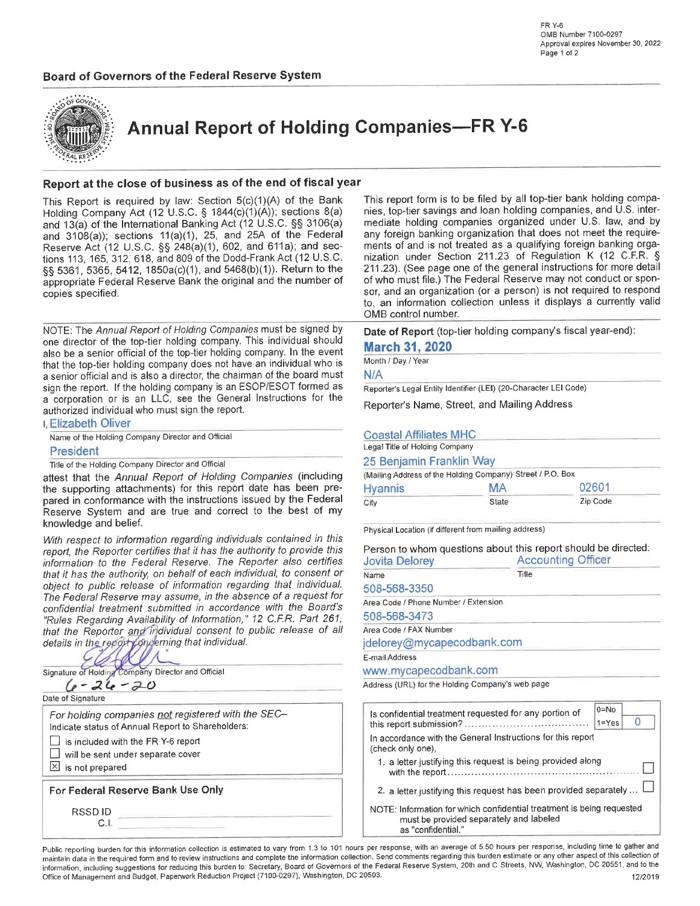# Board of Governors of the Federal Reserve System



**Annual Report of Holding Companies-FR Y-6** 

## Report at the close of business as of the end of fiscal year

This Report is required by law: Section 5(c)(1)(A) of the Bank Holding Company Act (12 U.S.C. § 1844(c)(1)(A)); sections 8(a) and 13(a) of the International Banking Act (12 U.S.C. §§ 3106(a) and  $3108(a)$ ; sections  $11(a)(1)$ , 25, and 25A of the Federal Reserve Act (12 U.S.C. §§ 248(a)(1), 602, and 611a); and sections 113, 165, 312, 618, and 809 of the Dodd-Frank Act (12 U.S.C. §§ 5361, 5365, 5412, 1850a(c)(1), and 5468(b)(1)). Return to the appropriate Federal Reserve Bank the original and the number of copies specified.

NOTE: The Annual Report of Holding Companies must be signed by one director of the top-tier holding company. This individual should also be a senior official of the top-tier holding company. In the event that the top-tier holding company does not have an individual who is a senior official and is also a director, the chairman of the board must sign the report. If the holding company is an ESOP/ESOT formed as a corporation or is an LLC, see the General Instructions for the authorized individual who must sign the report.

| l Elizabeth Oliver                                |  |  |  |  |  |  |  |  |  |  |
|---------------------------------------------------|--|--|--|--|--|--|--|--|--|--|
| Name of the Holding Company Director and Official |  |  |  |  |  |  |  |  |  |  |
| <b>President</b>                                  |  |  |  |  |  |  |  |  |  |  |

Title of the Holding Company Director and Official

attest that the Annual Report of Holding Companies (including the supporting attachments) for this report date has been prepared in conformance with the instructions issued by the Federal Reserve System and are true and correct to the best of my knowledge and belief.

With respect to information regarding individuals contained in this report, the Reporter certifies that it has the authority to provide this information to the Federal Reserve. The Reporter also certifies that it has the authority, on behalf of each individual, to consent or object to public release of information regarding that individual. The Federal Reserve may assume, in the absence of a request for confidential treatment submitted in accordance with the Board's "Rules Regarding Availability of Information," 12 C.F.R. Part 261, that the Reporter and individual consent to public release of all details in the report concerning that individual.

ł Company Director and Official Signature of Holding

 $6 - 26 - 20$ 

Date of Signature

For holding companies not registered with the SEC-Indicate status of Annual Report to Shareholders: is included with the FR Y-6 report П will be sent under separate cover  $\boxed{\times}$  is not prepared For Federal Reserve Bank Use Only

**RSSDID**  $C.I.$ 

This report form is to be filed by all top-tier bank holding companies, top-tier savings and loan holding companies, and U.S. intermediate holding companies organized under U.S. law, and by any foreign banking organization that does not meet the requirements of and is not treated as a qualifying foreign banking organization under Section 211.23 of Regulation K (12 C.F.R. § 211.23). (See page one of the general instructions for more detail of who must file.) The Federal Reserve may not conduct or sponsor, and an organization (or a person) is not required to respond to, an information collection unless it displays a currently valid OMB control number.

Date of Report (top-tier holding company's fiscal year-end):

## **March 31, 2020**

Month / Day / Year

N/A

Reporter's Legal Entity Identifier (LEI) (20-Character LEI Code)

Reporter's Name, Street, and Mailing Address

## **Coastal Affiliates MHC**

| Legal Title of Holding Company |                                                            |          |  |  |  |  |  |  |
|--------------------------------|------------------------------------------------------------|----------|--|--|--|--|--|--|
| 25 Benjamin Franklin Way       |                                                            |          |  |  |  |  |  |  |
|                                | (Mailing Address of the Holding Company) Street / P.O. Box |          |  |  |  |  |  |  |
| <b>Hyannis</b>                 | MA                                                         | 02601    |  |  |  |  |  |  |
| City                           | State                                                      | Zip Code |  |  |  |  |  |  |

Physical Location (if different from mailing address)

| <b>Jovita Delorey</b>                | Person to whom questions about this report should be directed:<br><b>Accounting Officer</b> |  |  |  |  |
|--------------------------------------|---------------------------------------------------------------------------------------------|--|--|--|--|
| Name                                 | Title                                                                                       |  |  |  |  |
| 508-568-3350                         |                                                                                             |  |  |  |  |
| Area Code / Phone Number / Extension |                                                                                             |  |  |  |  |
| 508-568-3473                         |                                                                                             |  |  |  |  |
| Area Code / FAX Number               |                                                                                             |  |  |  |  |

jdelorey@mycapecodbank.com

E-mail Address

www.mycapecodbank.com

Address (URL) for the Holding Company's web page

| Is confidential treatment requested for any portion of                                                             | $0 = No$  |  |  |  |  |  |  |
|--------------------------------------------------------------------------------------------------------------------|-----------|--|--|--|--|--|--|
|                                                                                                                    | $1 = Yes$ |  |  |  |  |  |  |
| In accordance with the General Instructions for this report<br>(check only one),                                   |           |  |  |  |  |  |  |
| 1. a letter justifying this request is being provided along                                                        |           |  |  |  |  |  |  |
| 2. a letter justifying this request has been provided separately  L                                                |           |  |  |  |  |  |  |
| NOTE: Information for which confidential treatment is being requested<br>holadel ha e vlaterenes hobivora od tovar |           |  |  |  |  |  |  |

must be provided separately and labeled as "confidential."

Public reporting burden for this information collection is estimated to vary from 1.3 to 101 hours per response, with an average of 5.50 hours per response, including time to gather and maintain data in the required form and to review instructions and complete the information collection. Send comments regarding this burden estimate or any other aspect of this collection of information, including suggestions for reducing this burden to: Secretary, Board of Governors of the Federal Reserve System, 20th and C Streets, NW, Washington, DC 20551, and to the Office of Management and Budget, Paperwork Reduction Project (7100-0297), Washington, DC 20503.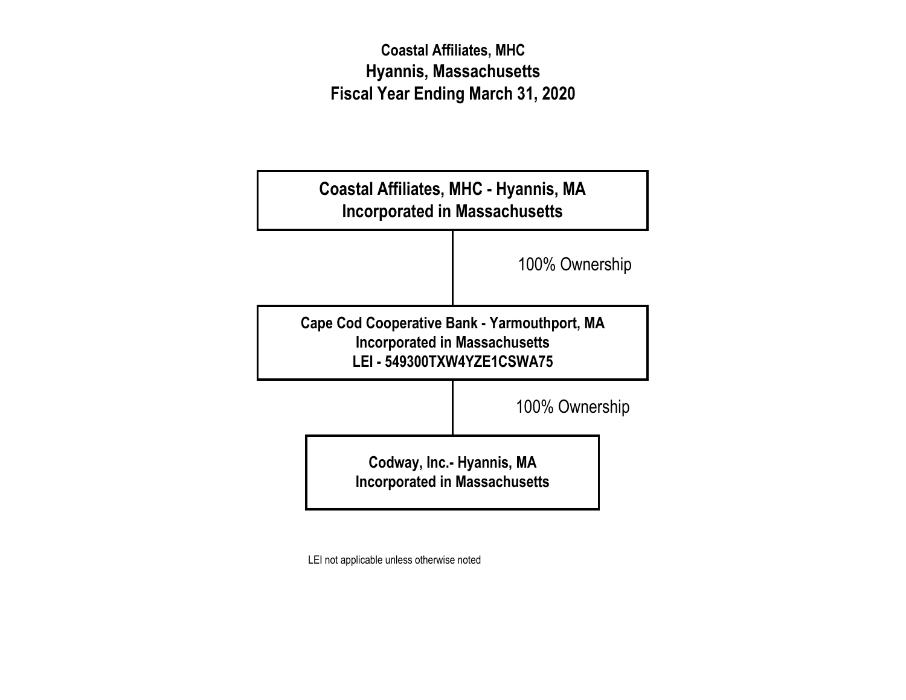# **Coastal Affiliates, MHC Hyannis, Massachusetts Fiscal Year Ending March 31, 2020**



LEI not applicable unless otherwise noted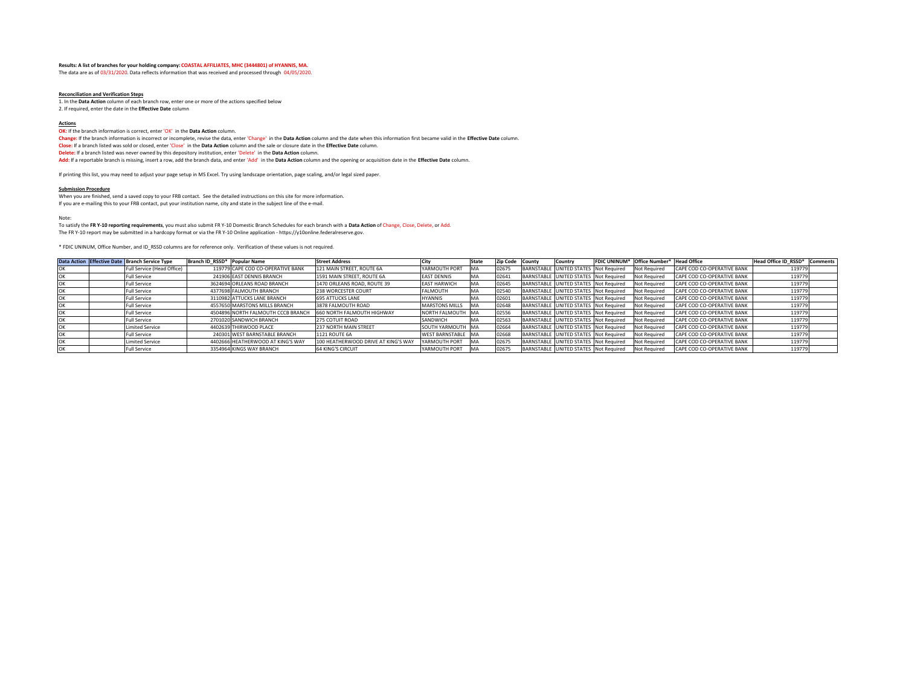### **Results: A list of branches for your holding company: COASTAL AFFILIATES, MHC (3444801) of HYANNIS, MA.**

The data are as of 03/31/2020. Data reflects information that was received and processed through 04/05/2020.

#### **Reconciliation and Verification Steps**

1. In the **Data Action** column of each branch row, enter one or more of the actions specified below 2. If required, enter the date in the **Effective Date** column

## **Actions**

**OK:** If the branch information is correct, enter 'OK' in the **Data Action** column.

Change: If the branch information is incorrect or incomplete, revise the data, enter 'Change' in the Data Action column and the date when this information first became valid in the Effective Date column. **Close:** If a branch listed was sold or closed, enter 'Close' in the **Data Action** column and the sale or closure date in the **Effective Date** column. **Delete:** If a branch listed was never owned by this depository institution, enter 'Delete' in the **Data Action** column.

**Add:** If a reportable branch is missing, insert <sup>a</sup> row, add the branch data, and enter 'Add' in the **Data Action** column and the opening or acquisition date in the **Effective Date** column.

If printing this list, you may need to adjust your page setup in MS Excel. Try using landscape orientation, page scaling, and/or legal sized paper.

#### **Submission Procedure**

When you are finished, send <sup>a</sup> saved copy to your FRB contact. See the detailed instructions on this site for more information.

If you are <sup>e</sup>‐mailing this to your FRB contact, put your institution name, city and state in the subject line of the <sup>e</sup>‐mail.

### Note:

To satisfy the FR Y-10 reporting requirements, you must also submit FR Y-10 Domestic Branch Schedules for each branch with a Data Action of Change, Close, Delete, or Add.

The FR Y‐10 report may be submitted in <sup>a</sup> hardcopy format or via the FR Y‐10 Online application ‐ https://y10online.federalreserve.gov.

\* FDIC UNINUM, Office Number, and ID\_RSSD columns are for reference only. Verification of these values is not required.

|    | Data Action Effective Date Branch Service Type | Branch ID RSSD* Popular Name |                                    | <b>Street Address</b>               | City                   | <b>State</b> | Zip Code County | Country                               | FDIC UNINUM* Office Number* Head Office |                            | Head Office ID RSSD* Comments |  |
|----|------------------------------------------------|------------------------------|------------------------------------|-------------------------------------|------------------------|--------------|-----------------|---------------------------------------|-----------------------------------------|----------------------------|-------------------------------|--|
|    | Full Service (Head Office)                     |                              | 119779 CAPE COD CO-OPERATIVE BANK  | 121 MAIN STREET, ROUTE 6A           | YARMOUTH PORT          | MA           | 02675           | BARNSTABLE UNITED STATES Not Required | <b>Not Required</b>                     | CAPE COD CO-OPERATIVE BANK | 119779                        |  |
|    | <b>Full Service</b>                            |                              | 241906 EAST DENNIS BRANCH          | 1591 MAIN STREET, ROUTE 6A          | <b>EAST DENNIS</b>     | MA           | 02641           | BARNSTABLE UNITED STATES Not Required | <b>Not Required</b>                     | CAPE COD CO-OPERATIVE BANK | 119779                        |  |
|    | Full Service                                   |                              | 3624694 ORLEANS ROAD BRANCH        | 1470 ORLEANS ROAD, ROUTE 39         | <b>EAST HARWICH</b>    | MA           | 02645           | BARNSTABLE UNITED STATES Not Required | <b>Not Required</b>                     | CAPE COD CO-OPERATIVE BANK | 119779                        |  |
|    | <b>Full Service</b>                            |                              | 4377698 FALMOUTH BRANCH            | 238 WORCESTER COURT                 | <b>FALMOUTH</b>        | IMA          | 02540           | BARNSTABLE UNITED STATES Not Required | <b>Not Required</b>                     | CAPE COD CO-OPERATIVE BANK | 119779                        |  |
|    | <b>Full Service</b>                            |                              | 3110982 ATTUCKS LANE BRANCH        | <b>695 ATTUCKS LANE</b>             | <b>HYANNIS</b>         | MA           | 02601           | BARNSTABLE UNITED STATES Not Required | <b>Not Required</b>                     | CAPE COD CO-OPERATIVE BANK | 119779                        |  |
|    | <b>Full Service</b>                            |                              | 4557650 MARSTONS MILLS BRANCH      | 3878 FALMOUTH ROAD                  | <b>MARSTONS MILLS</b>  | <b>MA</b>    | 02648           | BARNSTABLE UNITED STATES Not Required | <b>Not Required</b>                     | CAPE COD CO-OPERATIVE BANK | 119779                        |  |
|    | <b>Full Service</b>                            |                              | 4504896 NORTH FALMOUTH CCCB BRANCH | 660 NORTH FALMOUTH HIGHWAY          | NORTH FALMOUTH MA      |              | 02556           | BARNSTABLE UNITED STATES Not Required | <b>Not Required</b>                     | CAPE COD CO-OPERATIVE BANK | 119779                        |  |
|    | <b>Full Service</b>                            |                              | 2701020 SANDWICH BRANCH            | 275 COTUIT ROAD                     | SANDWICH               | MA           | 02563           | BARNSTABLE UNITED STATES Not Required | <b>Not Required</b>                     | CAPE COD CO-OPERATIVE BANK | 119779                        |  |
|    | <b>Limited Service</b>                         |                              | 4402639 THIRWOOD PLACE             | 237 NORTH MAIN STREET               | SOUTH YARMOUTH MA      |              | 02664           | BARNSTABLE UNITED STATES Not Required | <b>Not Required</b>                     | CAPE COD CO-OPERATIVE BANK | 119779                        |  |
|    | <b>Full Service</b>                            |                              | 240301 WEST BARNSTABLE BRANCH      | <b>1121 ROUTE 6A</b>                | <b>WEST BARNSTABLE</b> | <b>MA</b>    | 02668           | BARNSTABLE UNITED STATES Not Required | <b>Not Required</b>                     | CAPE COD CO-OPERATIVE BANK | 119779                        |  |
| OK | <b>Limited Service</b>                         |                              | 4402666 HEATHERWOOD AT KING'S WAY  | 100 HEATHERWOOD DRIVE AT KING'S WAY | YARMOUTH PORT          | <b>IMA</b>   | 02675           | BARNSTABLE UNITED STATES Not Required | <b>Not Required</b>                     | CAPE COD CO-OPERATIVE BANK | 119779                        |  |
| OK | Full Service                                   |                              | 3354964 KINGS WAY BRANCH           | <b>64 KING'S CIRCUIT</b>            | YARMOUTH PORT          | <b>IMA</b>   | 02675           | BARNSTABLE UNITED STATES Not Required | <b>Not Required</b>                     | CAPE COD CO-OPERATIVE BANK | 119779                        |  |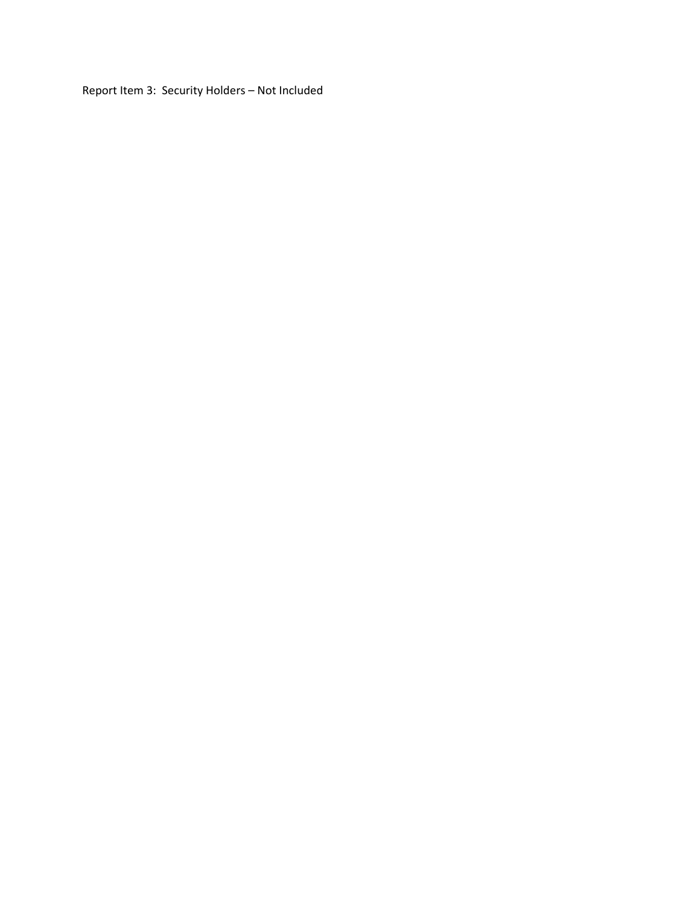Report Item 3: Security Holders – Not Included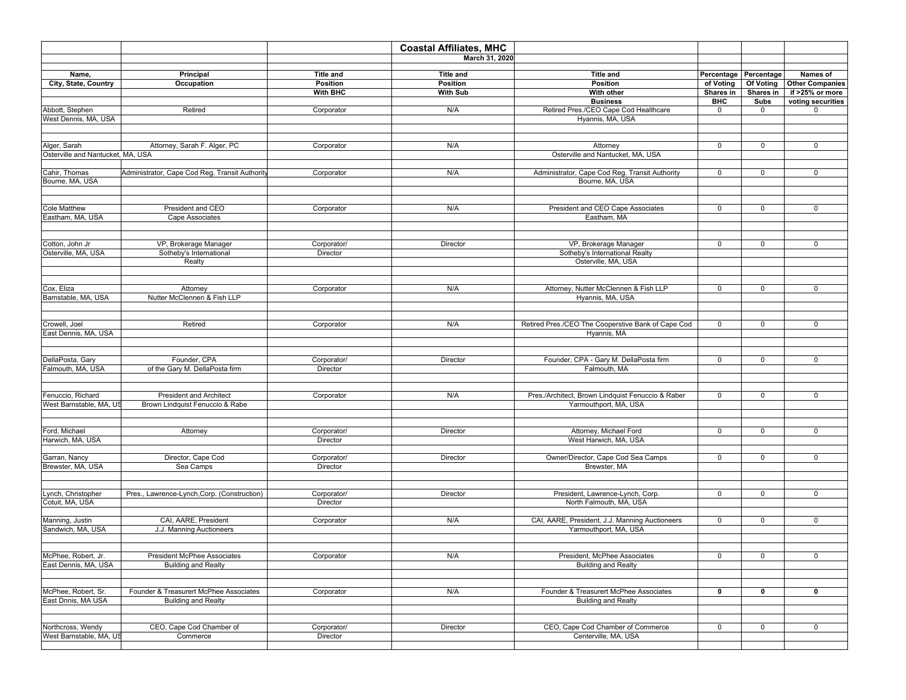|                                   |                                                |                  | <b>Coastal Affiliates, MHC</b> |                                                    |              |                       |                        |
|-----------------------------------|------------------------------------------------|------------------|--------------------------------|----------------------------------------------------|--------------|-----------------------|------------------------|
|                                   |                                                |                  | March 31, 2020                 |                                                    |              |                       |                        |
|                                   |                                                | <b>Title and</b> |                                | <b>Title and</b>                                   |              | Percentage Percentage | Names of               |
| Name,<br>City, State, Country     | Principal<br>Occupation                        | Position         | <b>Title and</b><br>Position   | Position                                           | of Voting    | Of Voting             | <b>Other Companies</b> |
|                                   |                                                | With BHC         | <b>With Sub</b>                | With other                                         | Shares in    | Shares in             | if >25% or more        |
|                                   |                                                |                  |                                | <b>Business</b>                                    | BHC          | Subs                  | voting securities      |
| Abbott, Stephen                   | Retired                                        | Corporator       | N/A                            | Retired Pres./CEO Cape Cod Healthcare              | 0            | 0                     | $\mathbf 0$            |
| West Dennis, MA, USA              |                                                |                  |                                | Hyannis, MA, USA                                   |              |                       |                        |
|                                   |                                                |                  |                                |                                                    |              |                       |                        |
|                                   |                                                |                  |                                |                                                    |              |                       |                        |
| Alger, Sarah                      | Attorney, Sarah F. Alger, PC                   | Corporator       | N/A                            | Attorney                                           | 0            | $\mathbf 0$           | $\mathbf 0$            |
| Osterville and Nantucket, MA, USA |                                                |                  |                                | Osterville and Nantucket, MA, USA                  |              |                       |                        |
|                                   |                                                |                  |                                |                                                    |              |                       |                        |
| Cahir, Thomas                     | Administrator, Cape Cod Reg. Transit Authority | Corporator       | N/A                            | Administrator, Cape Cod Reg. Transit Authority     | 0            | 0                     | 0                      |
| Bourne, MA, USA                   |                                                |                  |                                | Bourne, MA, USA                                    |              |                       |                        |
|                                   |                                                |                  |                                |                                                    |              |                       |                        |
|                                   |                                                |                  |                                |                                                    |              |                       |                        |
| Cole Matthew                      | President and CEO                              | Corporator       | N/A                            | President and CEO Cape Associates                  | 0            | $\mathbf 0$           | 0                      |
| Eastham, MA, USA                  | Cape Associates                                |                  |                                | Eastham, MA                                        |              |                       |                        |
|                                   |                                                |                  |                                |                                                    |              |                       |                        |
|                                   |                                                |                  |                                |                                                    |              |                       |                        |
| Cotton, John Jr                   | VP, Brokerage Manager                          | Corporator/      | Director                       | VP, Brokerage Manager                              | $\mathbf 0$  | $\mathbf 0$           | 0                      |
| Osterville, MA, USA               | Sotheby's International                        | Director         |                                | Sotheby's International Realty                     |              |                       |                        |
|                                   | Realty                                         |                  |                                | Osterville, MA, USA                                |              |                       |                        |
|                                   |                                                |                  |                                |                                                    |              |                       |                        |
| Cox, Eliza                        | Attorney                                       | Corporator       | N/A                            | Attorney, Nutter McClennen & Fish LLP              | $\mathbf 0$  | $\mathbf 0$           | $\mathbf 0$            |
| Barnstable, MA, USA               | Nutter McClennen & Fish LLP                    |                  |                                | Hyannis, MA, USA                                   |              |                       |                        |
|                                   |                                                |                  |                                |                                                    |              |                       |                        |
|                                   |                                                |                  |                                |                                                    |              |                       |                        |
| Crowell, Joel                     | Retired                                        | Corporator       | N/A                            | Retired Pres./CEO The Cooperstive Bank of Cape Cod | $\mathsf{O}$ | 0                     | 0                      |
| East Dennis, MA, USA              |                                                |                  |                                | Hyannis, MA                                        |              |                       |                        |
|                                   |                                                |                  |                                |                                                    |              |                       |                        |
|                                   |                                                |                  |                                |                                                    |              |                       |                        |
| DellaPosta, Gary                  | Founder, CPA                                   | Corporator/      | Director                       | Founder, CPA - Gary M. DellaPosta firm             | $\mathbf 0$  | $\mathbf 0$           | 0                      |
| Falmouth, MA, USA                 | of the Gary M. DellaPosta firm                 | Director         |                                | Falmouth, MA                                       |              |                       |                        |
|                                   |                                                |                  |                                |                                                    |              |                       |                        |
|                                   |                                                |                  |                                |                                                    |              |                       |                        |
| Fenuccio, Richard                 | <b>President and Architect</b>                 | Corporator       | N/A                            | Pres./Architect, Brown Lindquist Fenuccio & Raber  | $\mathbf 0$  | $\mathbf 0$           | 0                      |
| West Barnstable, MA, US           | Brown Lindquist Fenuccio & Rabe                |                  |                                | Yarmouthport, MA, USA                              |              |                       |                        |
|                                   |                                                |                  |                                |                                                    |              |                       |                        |
|                                   |                                                |                  |                                |                                                    |              |                       |                        |
| Ford, Michael                     | Attorney                                       | Corporator/      | Director                       | Attorney, Michael Ford                             | $\mathbf 0$  | $\mathbf 0$           | $\mathbf 0$            |
| Harwich, MA, USA                  |                                                | Director         |                                | West Harwich, MA, USA                              |              |                       |                        |
| Garran, Nancy                     | Director, Cape Cod                             | Corporator/      | Director                       | Owner/Director, Cape Cod Sea Camps                 | $\mathbf 0$  | $\mathbf 0$           | $\mathbf 0$            |
| Brewster, MA, USA                 | Sea Camps                                      | Director         |                                | Brewster, MA                                       |              |                       |                        |
|                                   |                                                |                  |                                |                                                    |              |                       |                        |
|                                   |                                                |                  |                                |                                                    |              |                       |                        |
| Lynch, Christopher                | Pres., Lawrence-Lynch, Corp. (Construction)    | Corporator/      | Director                       | President, Lawrence-Lynch, Corp.                   | 0            | $\mathbf 0$           | 0                      |
| Cotuit, MA, USA                   |                                                | Director         |                                | North Falmouth, MA, USA                            |              |                       |                        |
|                                   |                                                |                  |                                |                                                    |              |                       |                        |
| Manning, Justin                   | CAI, AARE, President                           | Corporator       | N/A                            | CAI, AARE, President, J.J. Manning Auctioneers     | $\mathsf{O}$ | $\mathbf 0$           | 0                      |
| Sandwich, MA, USA                 | J.J. Manning Auctioneers                       |                  |                                | Yarmouthport, MA, USA                              |              |                       |                        |
|                                   |                                                |                  |                                |                                                    |              |                       |                        |
|                                   |                                                |                  |                                |                                                    |              |                       |                        |
| McPhee, Robert, Jr.               | President McPhee Associates                    | Corporator       | N/A                            | President, McPhee Associates                       | 0            | 0                     | 0                      |
| East Dennis, MA, USA              | <b>Building and Realty</b>                     |                  |                                | <b>Building and Realty</b>                         |              |                       |                        |
|                                   |                                                |                  |                                |                                                    |              |                       |                        |
|                                   |                                                |                  |                                |                                                    |              |                       |                        |
| McPhee, Robert, Sr.               | Founder & Treasurert McPhee Associates         | Corporator       | N/A                            | Founder & Treasurert McPhee Associates             | 0            | 0                     | 0                      |
| East Dnnis, MA USA                | <b>Building and Realty</b>                     |                  |                                | <b>Building and Realty</b>                         |              |                       |                        |
|                                   |                                                |                  |                                |                                                    |              |                       |                        |
|                                   |                                                |                  |                                |                                                    |              |                       |                        |
| Northcross, Wendy                 | CEO, Cape Cod Chamber of                       | Corporator/      | Director                       | CEO, Cape Cod Chamber of Commerce                  | $\mathbf 0$  | $\mathbf 0$           | 0                      |
| West Barnstable, MA, US           | Commerce                                       | Director         |                                | Centerville, MA, USA                               |              |                       |                        |
|                                   |                                                |                  |                                |                                                    |              |                       |                        |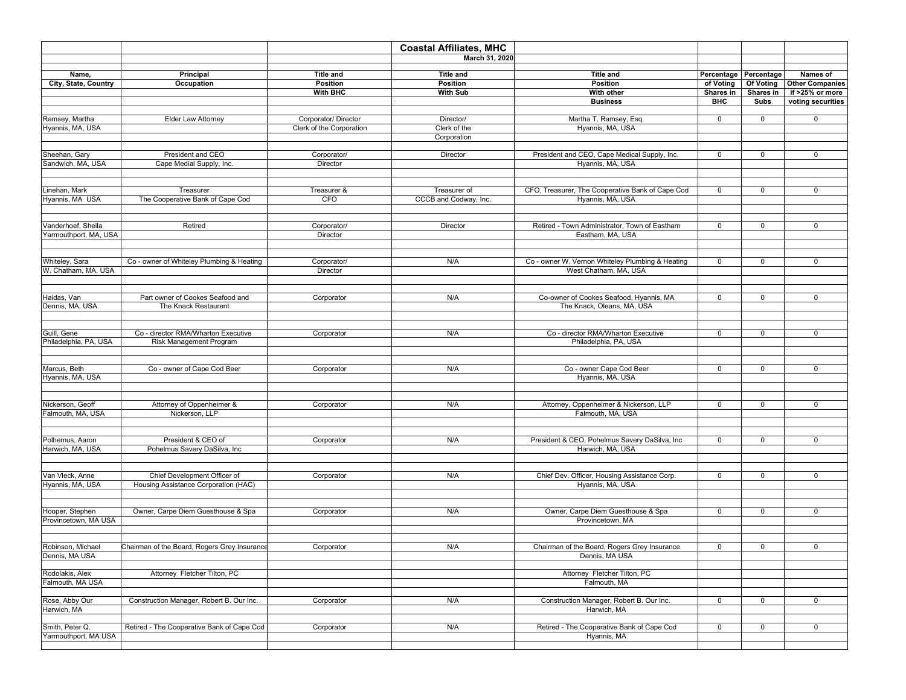|                                         |                                              |                          | <b>Coastal Affiliates, MHC</b> |                                                           |              |                       |                        |
|-----------------------------------------|----------------------------------------------|--------------------------|--------------------------------|-----------------------------------------------------------|--------------|-----------------------|------------------------|
|                                         |                                              |                          | March 31, 2020                 |                                                           |              |                       |                        |
| Name,                                   | Principal                                    | <b>Title and</b>         | <b>Title and</b>               | <b>Title and</b>                                          |              | Percentage Percentage | Names of               |
| City, State, Country                    | Occupation                                   | Position                 | Position                       | Position                                                  | of Voting    | Of Voting             | <b>Other Companies</b> |
|                                         |                                              | With BHC                 | <b>With Sub</b>                | With other                                                | Shares in    | Shares in             | if >25% or more        |
|                                         |                                              |                          |                                | <b>Business</b>                                           | <b>BHC</b>   | Subs                  | voting securities      |
|                                         |                                              |                          |                                |                                                           |              |                       |                        |
| Ramsey, Martha                          | Elder Law Attorney                           | Corporator/ Director     | Director/                      | Martha T. Ramsey, Esq.                                    | $\mathbf 0$  | $\mathbf 0$           | 0                      |
| Hyannis, MA, USA                        |                                              | Clerk of the Corporation | Clerk of the<br>Corporation    | Hyannis, MA, USA                                          |              |                       |                        |
|                                         |                                              |                          |                                |                                                           |              |                       |                        |
| Sheehan, Gary                           | President and CEO                            | Corporator/              | Director                       | President and CEO, Cape Medical Supply, Inc.              | $\mathbf 0$  | $\mathbf 0$           | 0                      |
| Sandwich, MA, USA                       | Cape Medial Supply, Inc.                     | Director                 |                                | Hyannis, MA, USA                                          |              |                       |                        |
|                                         |                                              |                          |                                |                                                           |              |                       |                        |
|                                         |                                              |                          |                                |                                                           |              |                       |                        |
| Linehan, Mark                           | Treasurer                                    | Treasurer &              | Treasurer of                   | CFO, Treasurer, The Cooperative Bank of Cape Cod          | 0            | 0                     | 0                      |
| Hyannis, MA USA                         | The Cooperative Bank of Cape Cod             | CFO                      | CCCB and Codway, Inc.          | Hyannis, MA, USA                                          |              |                       |                        |
|                                         |                                              |                          |                                |                                                           |              |                       |                        |
| /anderhoef, Sheila                      | Retired                                      | Corporator/              | Director                       | Retired - Town Administrator, Town of Eastham             | $\mathbf 0$  | $\mathbf 0$           | 0                      |
| <b>Yarmouthport, MA, USA</b>            |                                              | Director                 |                                | Eastham, MA, USA                                          |              |                       |                        |
|                                         |                                              |                          |                                |                                                           |              |                       |                        |
|                                         |                                              |                          |                                |                                                           |              |                       |                        |
| Whiteley, Sara                          | Co - owner of Whiteley Plumbing & Heating    | Corporator/              | N/A                            | Co - owner W. Vernon Whiteley Plumbing & Heating          | 0            | $\mathsf 0$           | 0                      |
| W. Chatham, MA, USA                     |                                              | Director                 |                                | West Chatham, MA, USA                                     |              |                       |                        |
|                                         |                                              |                          |                                |                                                           |              |                       |                        |
|                                         |                                              |                          |                                |                                                           |              |                       |                        |
| Haidas, Van                             | Part owner of Cookes Seafood and             | Corporator               | N/A                            | Co-owner of Cookes Seafood, Hyannis, MA                   | $\mathbf 0$  | $\mathbf 0$           | 0                      |
| Dennis, MA, USA                         | The Knack Restaurent                         |                          |                                | The Knack, Oleans, MA, USA                                |              |                       |                        |
|                                         |                                              |                          |                                |                                                           |              |                       |                        |
| Guill, Gene                             | Co - director RMA/Wharton Executive          | Corporator               | N/A                            | Co - director RMA/Wharton Executive                       | $\mathsf{O}$ | $\mathbf 0$           | 0                      |
| Philadelphia, PA, USA                   | <b>Risk Management Program</b>               |                          |                                | Philadelphia, PA, USA                                     |              |                       |                        |
|                                         |                                              |                          |                                |                                                           |              |                       |                        |
|                                         |                                              |                          |                                |                                                           |              |                       |                        |
| Marcus, Beth                            | Co - owner of Cape Cod Beer                  | Corporator               | N/A                            | Co - owner Cape Cod Beer                                  | 0            | 0                     | 0                      |
| Hyannis, MA, USA                        |                                              |                          |                                | Hyannis, MA, USA                                          |              |                       |                        |
|                                         |                                              |                          |                                |                                                           |              |                       |                        |
| Nickerson, Geoff                        | Attorney of Oppenheimer &                    | Corporator               | N/A                            | Attorney, Oppenheimer & Nickerson, LLP                    | 0            | $\mathbf 0$           | 0                      |
| Falmouth, MA, USA                       | Nickerson, LLP                               |                          |                                | Falmouth, MA, USA                                         |              |                       |                        |
|                                         |                                              |                          |                                |                                                           |              |                       |                        |
|                                         |                                              |                          |                                |                                                           |              |                       |                        |
| Polhemus, Aaron                         | President & CEO of                           | Corporator               | N/A                            | President & CEO, Pohelmus Savery DaSilva, Inc             | 0            | $\mathbf 0$           | 0                      |
| Harwich, MA, USA                        | Pohelmus Savery DaSilva, Inc                 |                          |                                | Harwich, MA, USA                                          |              |                       |                        |
|                                         |                                              |                          |                                |                                                           |              |                       |                        |
| Van Vleck, Anne                         | Chief Development Officer of                 | Corporator               | N/A                            | Chief Dev. Officer, Housing Assistance Corp.              | $\mathsf{O}$ | $\mathbf 0$           | 0                      |
| Hyannis, MA, USA                        | Housing Assistance Corporation (HAC)         |                          |                                | Hyannis, MA, USA                                          |              |                       |                        |
|                                         |                                              |                          |                                |                                                           |              |                       |                        |
|                                         |                                              |                          |                                |                                                           |              |                       |                        |
| Hooper, Stephen                         | Owner, Carpe Diem Guesthouse & Spa           | Corporator               | N/A                            | Owner, Carpe Diem Guesthouse & Spa                        | 0            | 0                     | 0                      |
| Provincetown, MA USA                    |                                              |                          |                                | Provincetown, MA                                          |              |                       |                        |
|                                         |                                              |                          |                                |                                                           |              |                       |                        |
| Robinson, Michael                       | Chairman of the Board, Rogers Grey Insurance | Corporator               | N/A                            | Chairman of the Board, Rogers Grey Insurance              | 0            | 0                     | 0                      |
| Dennis, MA USA                          |                                              |                          |                                | Dennis, MA USA                                            |              |                       |                        |
|                                         |                                              |                          |                                |                                                           |              |                       |                        |
| Rodolakis, Alex                         | Attorney Fletcher Tilton, PC                 |                          |                                | Attorney Fletcher Tilton, PC                              |              |                       |                        |
| Falmouth, MA USA                        |                                              |                          |                                | Falmouth, MA                                              |              |                       |                        |
|                                         |                                              |                          |                                |                                                           |              |                       |                        |
| Rose, Abby Our                          | Construction Manager, Robert B. Our Inc.     | Corporator               | N/A                            | Construction Manager, Robert B. Our Inc.                  | $\mathbf 0$  | $\mathbf 0$           | 0                      |
| Harwich, MA                             |                                              |                          |                                | Harwich, MA                                               |              |                       |                        |
|                                         |                                              |                          |                                |                                                           |              |                       |                        |
| Smith, Peter Q.<br>Yarmouthport, MA USA | Retired - The Cooperative Bank of Cape Cod   | Corporator               | N/A                            | Retired - The Cooperative Bank of Cape Cod<br>Hyannis, MA | $\mathbf 0$  | 0                     | 0                      |
|                                         |                                              |                          |                                |                                                           |              |                       |                        |
|                                         |                                              |                          |                                |                                                           |              |                       |                        |